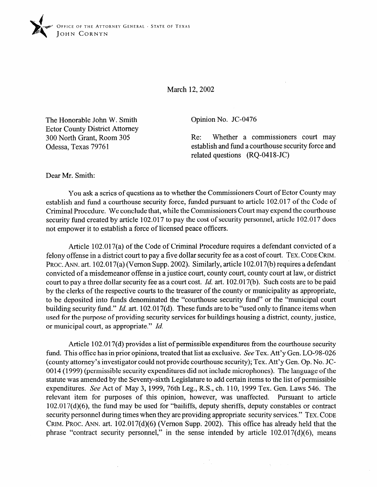

March 12,2002

The Honorable John W. Smith Ector County District Attorney 300 North Grant, Room 305 Odessa, Texas 79761

Opinion No. JC-0476

Re: Whether a commissioners court may establish and fund a courthouse security force and related questions (RQ-0418-JC)

Dear Mr. Smith:

You ask a series of questions as to whether the Commissioners Court of Ector County may establish and fund a courthouse security force, funded pursuant to article 102.017 of the Code of Criminal Procedure. We conclude that, while the Commissioners Court may expend the courthouse security fund created by article 102.017 to pay the cost of security personnel, article 102.017 does not empower it to establish a force of licensed peace officers.

Article 102.017(a) of the Code of Criminal Procedure requires a defendant convicted of a felony offense in a district court to pay a five dollar security fee as a cost of court. **TEX. CODE** CRIM. PROC. ANN. art. 102.017(a) (Vernon Supp. 2002). Similarly, article 102.017(b) requires a defendant convicted of a misdemeanor offense in a justice court, county court, county court at law, or district court to pay a three dollar security fee as a court cost. *Id.* art. 102.017(b). Such costs are to be paid by the clerks of the respective courts to the treasurer of the county or municipality as appropriate, to be deposited into funds denominated the "courthouse security fund" or the "municipal court building security fund." *Id.* art. 102.017(d). These funds are to be "used only to finance items when used for the purpose of providing security services for buildings housing a district, county, justice, or municipal court, as appropriate." *Id.* 

Article 102.017(d) provides a list of permissible expenditures from the courthouse security fund. This office has in prior opinions, treated that list as exclusive. See Tex. Att'y Gen. LO-98-026 (county attorney's investigator could not provide courthouse security); Tex. Att'y Gen. Op. No. JC-0014 (1999) (permissible security expenditures did not include microphones). The language of the statute was amended by the Seventy-sixth Legislature to add certain items to the list of permissible expenditures. See Act of May 3, 1999, 76th Leg., R.S., ch. 110, 1999 Tex. Gen. Laws 546. The relevant item for purposes of this opinion, however, was unaffected. Pursuant to article 102.017(d)(6), the fund may be used for "bailiffs, deputy sheriffs, deputy constables or contract security personnel during times when they are providing appropriate security services." **TEX. CODE CRIM. PROC.** ANN. art. 102.017(d)(6) (Vernon Supp. 2002). This office has already held that the phrase "contract security personnel," in the sense intended by article  $102.017(d)(6)$ , means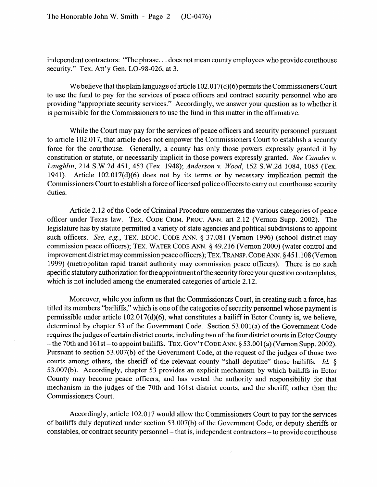independent contractors: "The phrase. . . does not mean county employees who provide courthouse security." Tex. Att'y Gen. LO-98-026, at 3.

We believe that the plain language of article  $102.017(d)(6)$  permits the Commissioners Court to use the fund to pay for the services of peace officers and contract security personnel who are providing "appropriate security services." Accordingly, we answer your question as to whether it is permissible for the Commissioners to use the fund in this matter in the affirmative.

While the Court may pay for the services of peace officers and security personnel pursuant to article 102.017, that article does not empower the Commissioners Court to establish a security force for the courthouse. Generally, a county has only those powers expressly granted it by constitution or statute, or necessarily implicit in those powers expressly granted. See *Canales v. Laughlin,* 214 S.W.2d 451, *453* (Tex. 1948); *Anderson v. Wood,* 152 S.W.2d 1084, 1085 (Tex. 1941). Article  $102.017(d)(6)$  does not by its terms or by necessary implication permit the Commissioners Court to establish a force of licensed police officers to carry out courthouse security duties.

Article 2.12 of the Code of Criminal Procedure enumerates the various categories of peace officer under Texas law. **TEX. CODE CRIM. PROC.** ANN. art 2.12 (Vernon Supp. 2002). The legislature has by statute permitted a variety of state agencies and political subdivisions to appoint such officers. See, e.g., TEX. EDUC. CODE ANN. § 37.081 (Vernon 1996) (school district may commission peace officers); **TEX. WATER CODE** ANN. 8 49.216 (Vernon 2000) (water control and improvement district may commission peace officers); **TEX. TRANSP. CODE** ANN. 9 45 1.108 (Vernon 1999) (metropolitan rapid transit authority may commission peace officers). There is no such specific statutory authorization for the appointment of the security force your question contemplates, which is not included among the enumerated categories of article 2.12.

Moreover, while you inform us that the Commissioners Court, in creating such a force, has titled its members "bailiffs," which is one of the categories of security personnel whose payment is permissible under article 102.017(d)(6), what constitutes a bailiff in Ector County is, we believe, determined by chapter 53 of the Government Code. Section 53.001(a) of the Government Code requires the judges of certain district courts, including two of the four district courts in Ector County - the 70th and 161st - to appoint bailiffs. TEX. GOV'T CODE ANN. § 53.001(a) (Vernon Supp. 2002). Pursuant to section 53.007(b) of the Government Code, at the request of the judges of those two courts among others, the sheriff of the relevant county "shall deputize" those bailiffs. *Id.* § 53.007(b). Accordingly, chapter 53 provides an explicit mechanism by which bailiffs in Ector County may become peace officers, and has vested the authority and responsibility for that mechanism in the judges of the 70th and 161st district courts, and the sheriff, rather than the Commissioners Court.

Accordingly, article 102.017 would allow the Commissioners Court to pay for the services of bailiffs duly deputized under section 53.007(b) of the Government Code, or deputy sheriffs or constables, or contract security personnel – that is, independent contractors – to provide courthouse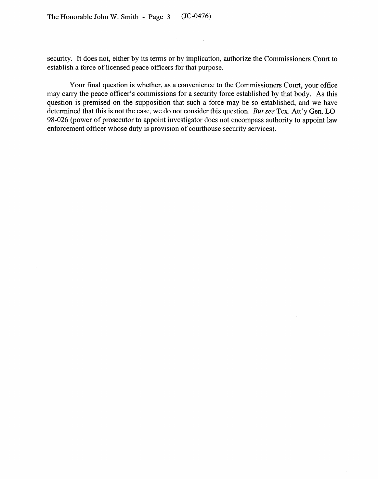$\sim$ 

security. It does not, either by its terms or by implication, authorize the Commissioners Court to establish a force of licensed peace officers for that purpose.

 $\sim 10$ 

Your final question is whether, as a convenience to the Commissioners Court, your office may carry the peace officer's commissions for a security force established by that body. As this question is premised on the supposition that such a force may be so established, and we have determined that this is not the case, we do not consider this question. *But* see Tex. Att'y Gen. LO-98-026 (power of prosecutor to appoint investigator does not encompass authority to appoint law enforcement officer whose duty is provision of courthouse security services).

 $\ddot{\phantom{a}}$